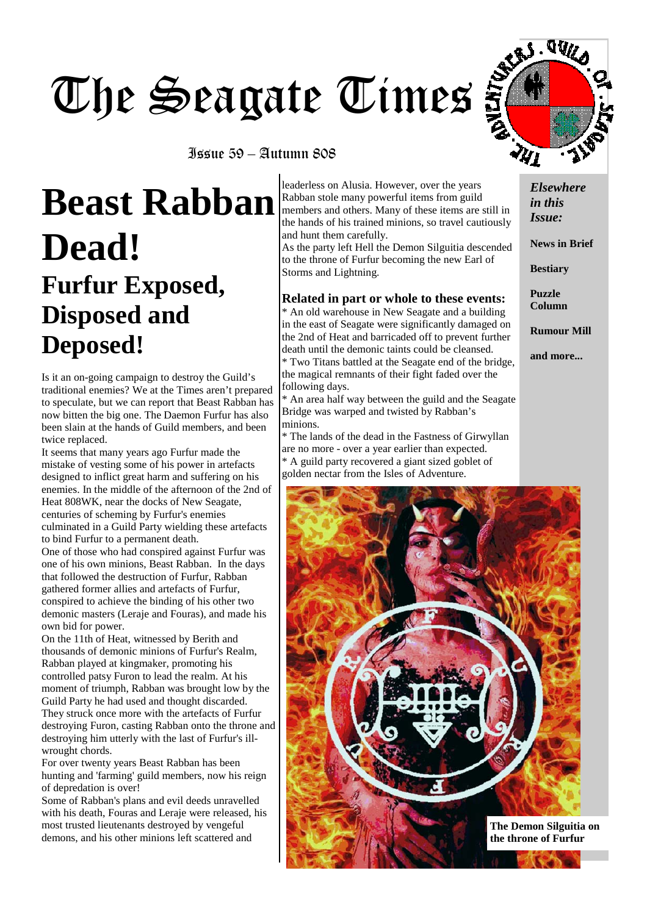# The Seagate Times

Issue 59 – Autumn 808

## **Beast Rabban Dead! Furfur Exposed, Disposed and Deposed!**

Is it an on-going campaign to destroy the Guild's traditional enemies? We at the Times aren't prepared to speculate, but we can report that Beast Rabban has now bitten the big one. The Daemon Furfur has also been slain at the hands of Guild members, and been twice replaced.

It seems that many years ago Furfur made the mistake of vesting some of his power in artefacts designed to inflict great harm and suffering on his enemies. In the middle of the afternoon of the 2nd of Heat 808WK, near the docks of New Seagate, centuries of scheming by Furfur's enemies culminated in a Guild Party wielding these artefacts to bind Furfur to a permanent death.

One of those who had conspired against Furfur was one of his own minions, Beast Rabban. In the days that followed the destruction of Furfur, Rabban gathered former allies and artefacts of Furfur, conspired to achieve the binding of his other two demonic masters (Leraje and Fouras), and made his own bid for power.

On the 11th of Heat, witnessed by Berith and thousands of demonic minions of Furfur's Realm, Rabban played at kingmaker, promoting his controlled patsy Furon to lead the realm. At his moment of triumph, Rabban was brought low by the Guild Party he had used and thought discarded. They struck once more with the artefacts of Furfur destroying Furon, casting Rabban onto the throne and destroying him utterly with the last of Furfur's illwrought chords.

For over twenty years Beast Rabban has been hunting and 'farming' guild members, now his reign of depredation is over!

Some of Rabban's plans and evil deeds unravelled with his death, Fouras and Leraje were released, his most trusted lieutenants destroyed by vengeful demons, and his other minions left scattered and

leaderless on Alusia. However, over the years Rabban stole many powerful items from guild members and others. Many of these items are still in the hands of his trained minions, so travel cautiously and hunt them carefully.

As the party left Hell the Demon Silguitia descended to the throne of Furfur becoming the new Earl of Storms and Lightning.

#### **Related in part or whole to these events:**

\* An old warehouse in New Seagate and a building in the east of Seagate were significantly damaged on the 2nd of Heat and barricaded off to prevent further death until the demonic taints could be cleansed. \* Two Titans battled at the Seagate end of the bridge, the magical remnants of their fight faded over the following days.

\* An area half way between the guild and the Seagate Bridge was warped and twisted by Rabban's minions.

\* The lands of the dead in the Fastness of Girwyllan are no more - over a year earlier than expected. \* A guild party recovered a giant sized goblet of golden nectar from the Isles of Adventure.



**News in Brief** 

**Bestiary** 

**Puzzle Column** 

**Rumour Mill** 

**and more...** 



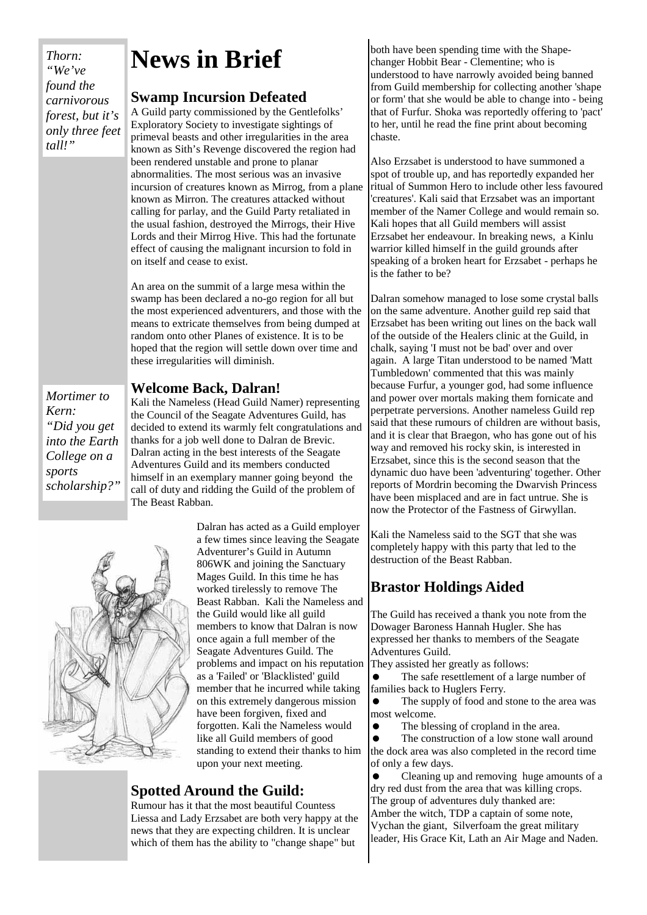*Thorn: "We've found the carnivorous forest, but it's only three feet tall!"* 

## **News in Brief**

#### **Swamp Incursion Defeated**

A Guild party commissioned by the Gentlefolks' Exploratory Society to investigate sightings of primeval beasts and other irregularities in the area known as Sith's Revenge discovered the region had been rendered unstable and prone to planar abnormalities. The most serious was an invasive incursion of creatures known as Mirrog, from a plane known as Mirron. The creatures attacked without calling for parlay, and the Guild Party retaliated in the usual fashion, destroyed the Mirrogs, their Hive Lords and their Mirrog Hive. This had the fortunate effect of causing the malignant incursion to fold in on itself and cease to exist.

An area on the summit of a large mesa within the swamp has been declared a no-go region for all but the most experienced adventurers, and those with the means to extricate themselves from being dumped at random onto other Planes of existence. It is to be hoped that the region will settle down over time and these irregularities will diminish.

#### **Welcome Back, Dalran!**

*Mortimer to Kern: "Did you get into the Earth College on a sports scholarship?"* 

Kali the Nameless (Head Guild Namer) representing the Council of the Seagate Adventures Guild, has decided to extend its warmly felt congratulations and thanks for a job well done to Dalran de Brevic. Dalran acting in the best interests of the Seagate Adventures Guild and its members conducted himself in an exemplary manner going beyond the call of duty and ridding the Guild of the problem of The Beast Rabban.



Dalran has acted as a Guild employer a few times since leaving the Seagate Adventurer's Guild in Autumn 806WK and joining the Sanctuary Mages Guild. In this time he has worked tirelessly to remove The Beast Rabban. Kali the Nameless and the Guild would like all guild members to know that Dalran is now once again a full member of the Seagate Adventures Guild. The problems and impact on his reputation as a 'Failed' or 'Blacklisted' guild member that he incurred while taking on this extremely dangerous mission have been forgiven, fixed and forgotten. Kali the Nameless would like all Guild members of good standing to extend their thanks to him upon your next meeting.

#### **Spotted Around the Guild:**

Rumour has it that the most beautiful Countess Liessa and Lady Erzsabet are both very happy at the news that they are expecting children. It is unclear which of them has the ability to "change shape" but

both have been spending time with the Shapechanger Hobbit Bear - Clementine; who is understood to have narrowly avoided being banned from Guild membership for collecting another 'shape or form' that she would be able to change into - being that of Furfur. Shoka was reportedly offering to 'pact' to her, until he read the fine print about becoming chaste.

Also Erzsabet is understood to have summoned a spot of trouble up, and has reportedly expanded her ritual of Summon Hero to include other less favoured 'creatures'. Kali said that Erzsabet was an important member of the Namer College and would remain so. Kali hopes that all Guild members will assist Erzsabet her endeavour. In breaking news, a Kinlu warrior killed himself in the guild grounds after speaking of a broken heart for Erzsabet - perhaps he is the father to be?

Dalran somehow managed to lose some crystal balls on the same adventure. Another guild rep said that Erzsabet has been writing out lines on the back wall of the outside of the Healers clinic at the Guild, in chalk, saying 'I must not be bad' over and over again. A large Titan understood to be named 'Matt Tumbledown' commented that this was mainly because Furfur, a younger god, had some influence and power over mortals making them fornicate and perpetrate perversions. Another nameless Guild rep said that these rumours of children are without basis, and it is clear that Braegon, who has gone out of his way and removed his rocky skin, is interested in Erzsabet, since this is the second season that the dynamic duo have been 'adventuring' together. Other reports of Mordrin becoming the Dwarvish Princess have been misplaced and are in fact untrue. She is now the Protector of the Fastness of Girwyllan.

Kali the Nameless said to the SGT that she was completely happy with this party that led to the destruction of the Beast Rabban.

#### **Brastor Holdings Aided**

The Guild has received a thank you note from the Dowager Baroness Hannah Hugler. She has expressed her thanks to members of the Seagate Adventures Guild.

They assisted her greatly as follows:

• The safe resettlement of a large number of families back to Huglers Ferry.

• The supply of food and stone to the area was most welcome.

The blessing of cropland in the area.

• The construction of a low stone wall around the dock area was also completed in the record time of only a few days.

• Cleaning up and removing huge amounts of a dry red dust from the area that was killing crops. The group of adventures duly thanked are: Amber the witch, TDP a captain of some note, Vychan the giant, Silverfoam the great military leader, His Grace Kit, Lath an Air Mage and Naden.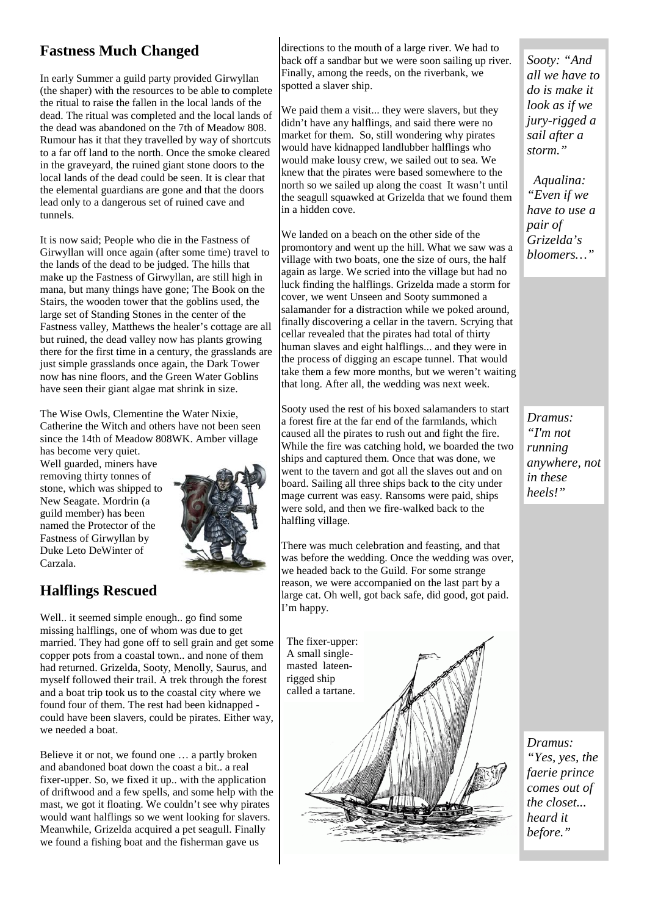#### **Fastness Much Changed**

In early Summer a guild party provided Girwyllan (the shaper) with the resources to be able to complete the ritual to raise the fallen in the local lands of the dead. The ritual was completed and the local lands of the dead was abandoned on the 7th of Meadow 808. Rumour has it that they travelled by way of shortcuts to a far off land to the north. Once the smoke cleared in the graveyard, the ruined giant stone doors to the local lands of the dead could be seen. It is clear that the elemental guardians are gone and that the doors lead only to a dangerous set of ruined cave and tunnels.

It is now said; People who die in the Fastness of Girwyllan will once again (after some time) travel to the lands of the dead to be judged. The hills that make up the Fastness of Girwyllan, are still high in mana, but many things have gone; The Book on the Stairs, the wooden tower that the goblins used, the large set of Standing Stones in the center of the Fastness valley, Matthews the healer's cottage are all but ruined, the dead valley now has plants growing there for the first time in a century, the grasslands are just simple grasslands once again, the Dark Tower now has nine floors, and the Green Water Goblins have seen their giant algae mat shrink in size.

The Wise Owls, Clementine the Water Nixie, Catherine the Witch and others have not been seen since the 14th of Meadow 808WK. Amber village has become very quiet.

Well guarded, miners have removing thirty tonnes of stone, which was shipped to New Seagate. Mordrin (a guild member) has been named the Protector of the Fastness of Girwyllan by Duke Leto DeWinter of Carzala.



#### **Halflings Rescued**

Well.. it seemed simple enough.. go find some missing halflings, one of whom was due to get married. They had gone off to sell grain and get some copper pots from a coastal town.. and none of them had returned. Grizelda, Sooty, Menolly, Saurus, and myself followed their trail. A trek through the forest and a boat trip took us to the coastal city where we found four of them. The rest had been kidnapped could have been slavers, could be pirates. Either way, we needed a boat.

Believe it or not, we found one … a partly broken and abandoned boat down the coast a bit.. a real fixer-upper. So, we fixed it up.. with the application of driftwood and a few spells, and some help with the mast, we got it floating. We couldn't see why pirates would want halflings so we went looking for slavers. Meanwhile, Grizelda acquired a pet seagull. Finally we found a fishing boat and the fisherman gave us

directions to the mouth of a large river. We had to back off a sandbar but we were soon sailing up river. Finally, among the reeds, on the riverbank, we spotted a slaver ship.

We paid them a visit... they were slavers, but they didn't have any halflings, and said there were no market for them. So, still wondering why pirates would have kidnapped landlubber halflings who would make lousy crew, we sailed out to sea. We knew that the pirates were based somewhere to the north so we sailed up along the coast It wasn't until the seagull squawked at Grizelda that we found them in a hidden cove.

We landed on a beach on the other side of the promontory and went up the hill. What we saw was a village with two boats, one the size of ours, the half again as large. We scried into the village but had no luck finding the halflings. Grizelda made a storm for cover, we went Unseen and Sooty summoned a salamander for a distraction while we poked around, finally discovering a cellar in the tavern. Scrying that cellar revealed that the pirates had total of thirty human slaves and eight halflings... and they were in the process of digging an escape tunnel. That would take them a few more months, but we weren't waiting that long. After all, the wedding was next week.

Sooty used the rest of his boxed salamanders to start a forest fire at the far end of the farmlands, which caused all the pirates to rush out and fight the fire. While the fire was catching hold, we boarded the two ships and captured them. Once that was done, we went to the tavern and got all the slaves out and on board. Sailing all three ships back to the city under mage current was easy. Ransoms were paid, ships were sold, and then we fire-walked back to the halfling village.

There was much celebration and feasting, and that was before the wedding. Once the wedding was over, we headed back to the Guild. For some strange reason, we were accompanied on the last part by a large cat. Oh well, got back safe, did good, got paid. I'm happy.



*Sooty: "And all we have to do is make it look as if we jury-rigged a sail after a storm."* 

 *Aqualina: "Even if we have to use a pair of Grizelda's bloomers…"* 

*Dramus: "I'm not running anywhere, not in these heels!"* 

*Dramus: "Yes, yes, the faerie prince comes out of the closet... heard it before."*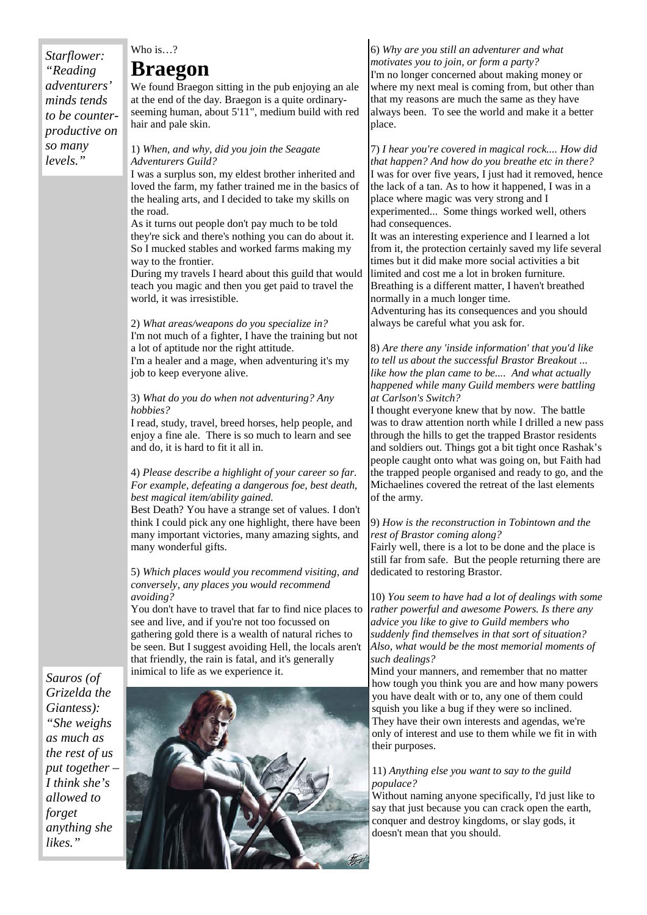#### *Starflower: "Reading adventurers' minds tends to be counterproductive on so many levels."*

#### Who is…?

#### **Braegon**

We found Braegon sitting in the pub enjoying an ale at the end of the day. Braegon is a quite ordinaryseeming human, about 5'11", medium build with red hair and pale skin.

#### 1) *When, and why, did you join the Seagate Adventurers Guild?*

I was a surplus son, my eldest brother inherited and loved the farm, my father trained me in the basics of the healing arts, and I decided to take my skills on the road.

As it turns out people don't pay much to be told they're sick and there's nothing you can do about it. So I mucked stables and worked farms making my way to the frontier.

During my travels I heard about this guild that would teach you magic and then you get paid to travel the world, it was irresistible.

2) *What areas/weapons do you specialize in?* I'm not much of a fighter, I have the training but not a lot of aptitude nor the right attitude. I'm a healer and a mage, when adventuring it's my job to keep everyone alive.

#### 3) *What do you do when not adventuring? Any hobbies?*

I read, study, travel, breed horses, help people, and enjoy a fine ale. There is so much to learn and see and do, it is hard to fit it all in.

#### 4) *Please describe a highlight of your career so far. For example, defeating a dangerous foe, best death, best magical item/ability gained.*

Best Death? You have a strange set of values. I don't think I could pick any one highlight, there have been many important victories, many amazing sights, and many wonderful gifts.

#### 5) *Which places would you recommend visiting, and conversely, any places you would recommend avoiding?*

You don't have to travel that far to find nice places to see and live, and if you're not too focussed on gathering gold there is a wealth of natural riches to be seen. But I suggest avoiding Hell, the locals aren't that friendly, the rain is fatal, and it's generally inimical to life as we experience it.

*Sauros (of Grizelda the Giantess): "She weighs as much as the rest of us put together – I think she's allowed to forget anything she likes."* 



#### 6) *Why are you still an adventurer and what motivates you to join, or form a party?*

I'm no longer concerned about making money or where my next meal is coming from, but other than that my reasons are much the same as they have always been. To see the world and make it a better place.

7) *I hear you're covered in magical rock.... How did that happen? And how do you breathe etc in there?* I was for over five years, I just had it removed, hence the lack of a tan. As to how it happened, I was in a place where magic was very strong and I experimented... Some things worked well, others had consequences.

It was an interesting experience and I learned a lot from it, the protection certainly saved my life several times but it did make more social activities a bit limited and cost me a lot in broken furniture. Breathing is a different matter, I haven't breathed normally in a much longer time.

Adventuring has its consequences and you should always be careful what you ask for.

8) *Are there any 'inside information' that you'd like to tell us about the successful Brastor Breakout ... like how the plan came to be.... And what actually happened while many Guild members were battling at Carlson's Switch?*

I thought everyone knew that by now. The battle was to draw attention north while I drilled a new pass through the hills to get the trapped Brastor residents and soldiers out. Things got a bit tight once Rashak's people caught onto what was going on, but Faith had the trapped people organised and ready to go, and the Michaelines covered the retreat of the last elements of the army.

#### 9) *How is the reconstruction in Tobintown and the rest of Brastor coming along?*

Fairly well, there is a lot to be done and the place is still far from safe. But the people returning there are dedicated to restoring Brastor.

10) *You seem to have had a lot of dealings with some rather powerful and awesome Powers. Is there any advice you like to give to Guild members who suddenly find themselves in that sort of situation? Also, what would be the most memorial moments of such dealings?*

Mind your manners, and remember that no matter how tough you think you are and how many powers you have dealt with or to, any one of them could squish you like a bug if they were so inclined. They have their own interests and agendas, we're only of interest and use to them while we fit in with their purposes.

#### 11) *Anything else you want to say to the guild populace?*

Without naming anyone specifically, I'd just like to say that just because you can crack open the earth, conquer and destroy kingdoms, or slay gods, it doesn't mean that you should.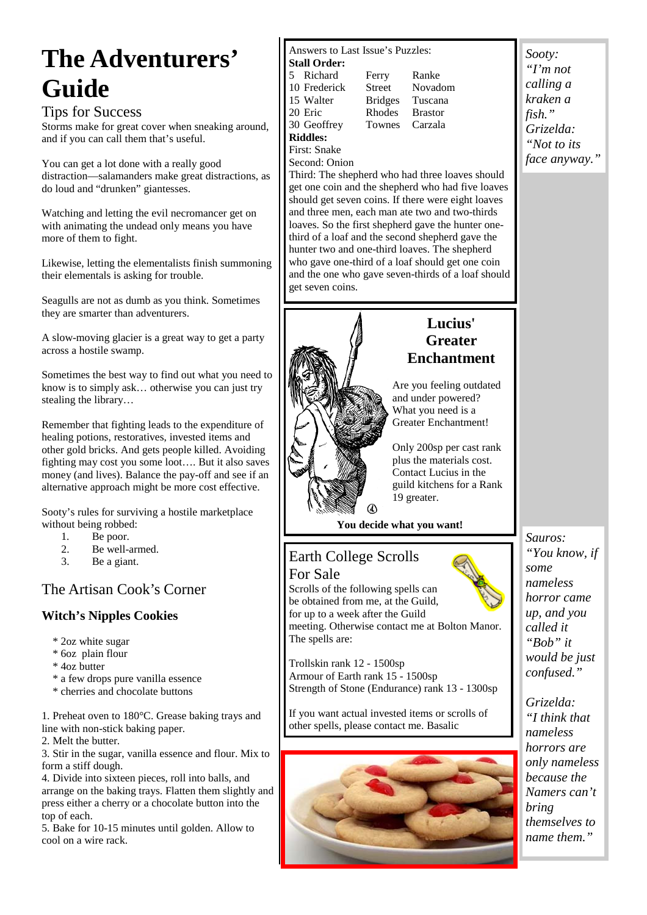## **The Adventurers' Guide**

#### Tips for Success

Storms make for great cover when sneaking around, and if you can call them that's useful.

You can get a lot done with a really good distraction—salamanders make great distractions, as do loud and "drunken" giantesses.

Watching and letting the evil necromancer get on with animating the undead only means you have more of them to fight.

Likewise, letting the elementalists finish summoning their elementals is asking for trouble.

Seagulls are not as dumb as you think. Sometimes they are smarter than adventurers.

A slow-moving glacier is a great way to get a party across a hostile swamp.

Sometimes the best way to find out what you need to know is to simply ask… otherwise you can just try stealing the library…

Remember that fighting leads to the expenditure of healing potions, restoratives, invested items and other gold bricks. And gets people killed. Avoiding fighting may cost you some loot…. But it also saves money (and lives). Balance the pay-off and see if an alternative approach might be more cost effective.

Sooty's rules for surviving a hostile marketplace without being robbed:

- 1. Be poor.
- 2. Be well-armed.
- 3. Be a giant.

#### The Artisan Cook's Corner

#### **Witch's Nipples Cookies**

- \* 2oz white sugar
- \* 6oz plain flour
- \* 4oz butter
- \* a few drops pure vanilla essence
- \* cherries and chocolate buttons

1. Preheat oven to 180°C. Grease baking trays and line with non-stick baking paper.

2. Melt the butter.

3. Stir in the sugar, vanilla essence and flour. Mix to form a stiff dough.

4. Divide into sixteen pieces, roll into balls, and arrange on the baking trays. Flatten them slightly and press either a cherry or a chocolate button into the top of each.

5. Bake for 10-15 minutes until golden. Allow to cool on a wire rack.

Answers to Last Issue's Puzzles:

- **Stall Order:**  5 Richard Ferry Ranke 10 Frederick Street Novadom
- 15 Walter Bridges Tuscana
- 20 Eric Rhodes Brastor<br>30 Geoffrey Townes Carzala
- **Riddles:**
- First: Snake
- Second: Onion

Third: The shepherd who had three loaves should get one coin and the shepherd who had five loaves should get seven coins. If there were eight loaves and three men, each man ate two and two-thirds loaves. So the first shepherd gave the hunter onethird of a loaf and the second shepherd gave the hunter two and one-third loaves. The shepherd who gave one-third of a loaf should get one coin and the one who gave seven-thirds of a loaf should get seven coins.

Townes Carzala

#### **Lucius' Greater Enchantment**

Are you feeling outdated and under powered? What you need is a Greater Enchantment!

Only 200sp per cast rank plus the materials cost. Contact Lucius in the guild kitchens for a Rank 19 greater.

#### **You decide what you want!**

#### Earth College Scrolls

For Sale Scrolls of the following spells can be obtained from me, at the Guild, for up to a week after the Guild meeting. Otherwise contact me at Bolton Manor. The spells are:

Trollskin rank 12 - 1500sp Armour of Earth rank 15 - 1500sp Strength of Stone (Endurance) rank 13 - 1300sp

If you want actual invested items or scrolls of other spells, please contact me. Basalic



*Sooty: "I'm not calling a kraken a fish." Grizelda: "Not to its face anyway."* 

*Sauros: "You know, if some nameless horror came up, and you called it "Bob" it would be just confused."* 

*Grizelda: "I think that nameless horrors are only nameless because the Namers can't bring themselves to name them."* 

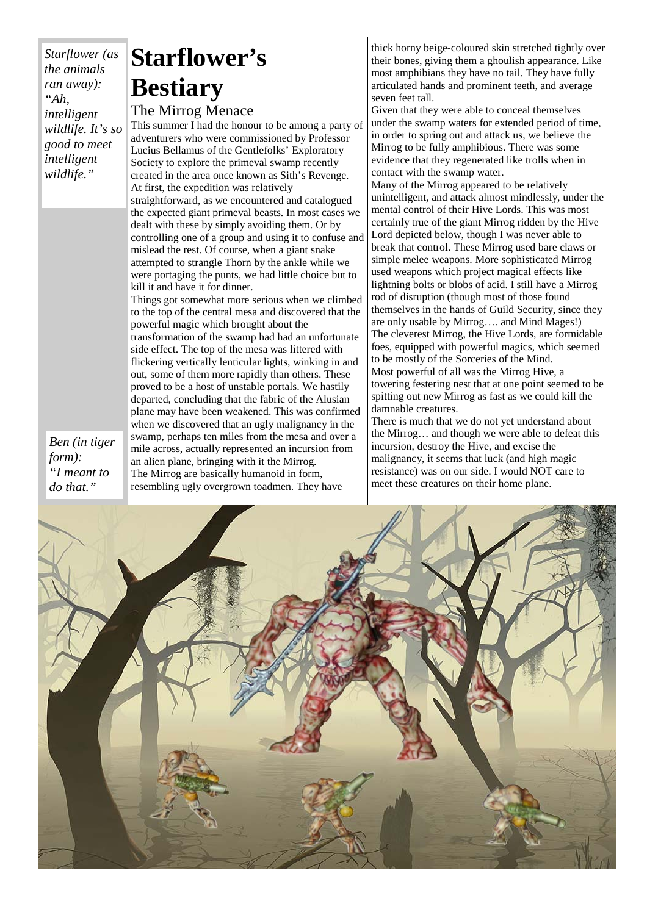*Starflower (as the animals ran away): "Ah, intelligent wildlife. It's so good to meet intelligent wildlife."* 

### **Starflower's Bestiary**

#### The Mirrog Menace

This summer I had the honour to be among a party of adventurers who were commissioned by Professor Lucius Bellamus of the Gentlefolks' Exploratory Society to explore the primeval swamp recently created in the area once known as Sith's Revenge. At first, the expedition was relatively straightforward, as we encountered and catalogued the expected giant primeval beasts. In most cases we dealt with these by simply avoiding them. Or by controlling one of a group and using it to confuse and mislead the rest. Of course, when a giant snake attempted to strangle Thorn by the ankle while we were portaging the punts, we had little choice but to kill it and have it for dinner.

Things got somewhat more serious when we climbed to the top of the central mesa and discovered that the powerful magic which brought about the transformation of the swamp had had an unfortunate side effect. The top of the mesa was littered with flickering vertically lenticular lights, winking in and out, some of them more rapidly than others. These proved to be a host of unstable portals. We hastily departed, concluding that the fabric of the Alusian plane may have been weakened. This was confirmed when we discovered that an ugly malignancy in the swamp, perhaps ten miles from the mesa and over a mile across, actually represented an incursion from an alien plane, bringing with it the Mirrog. The Mirrog are basically humanoid in form, resembling ugly overgrown toadmen. They have

thick horny beige-coloured skin stretched tightly over their bones, giving them a ghoulish appearance. Like most amphibians they have no tail. They have fully articulated hands and prominent teeth, and average seven feet tall.

Given that they were able to conceal themselves under the swamp waters for extended period of time, in order to spring out and attack us, we believe the Mirrog to be fully amphibious. There was some evidence that they regenerated like trolls when in contact with the swamp water.

Many of the Mirrog appeared to be relatively unintelligent, and attack almost mindlessly, under the mental control of their Hive Lords. This was most certainly true of the giant Mirrog ridden by the Hive Lord depicted below, though I was never able to break that control. These Mirrog used bare claws or simple melee weapons. More sophisticated Mirrog used weapons which project magical effects like lightning bolts or blobs of acid. I still have a Mirrog rod of disruption (though most of those found themselves in the hands of Guild Security, since they are only usable by Mirrog…. and Mind Mages!) The cleverest Mirrog, the Hive Lords, are formidable foes, equipped with powerful magics, which seemed to be mostly of the Sorceries of the Mind. Most powerful of all was the Mirrog Hive, a towering festering nest that at one point seemed to be spitting out new Mirrog as fast as we could kill the damnable creatures.

There is much that we do not yet understand about the Mirrog… and though we were able to defeat this incursion, destroy the Hive, and excise the malignancy, it seems that luck (and high magic resistance) was on our side. I would NOT care to meet these creatures on their home plane.



*Ben (in tiger form): "I meant to do that."*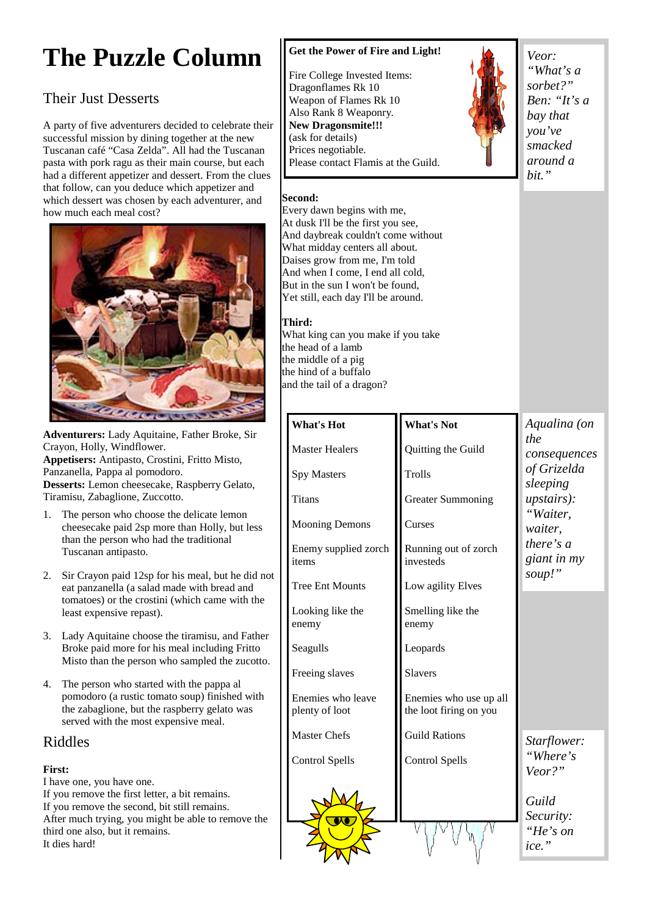## **The Puzzle Column**

#### Their Just Desserts

A party of five adventurers decided to celebrate their successful mission by dining together at the new Tuscanan café "Casa Zelda". All had the Tuscanan pasta with pork ragu as their main course, but each had a different appetizer and dessert. From the clues that follow, can you deduce which appetizer and which dessert was chosen by each adventurer, and how much each meal cost?



**Adventurers:** Lady Aquitaine, Father Broke, Sir Crayon, Holly, Windflower. **Appetisers:** Antipasto, Crostini, Fritto Misto, Panzanella, Pappa al pomodoro. **Desserts:** Lemon cheesecake, Raspberry Gelato, Tiramisu, Zabaglione, Zuccotto.

- 1. The person who choose the delicate lemon cheesecake paid 2sp more than Holly, but less than the person who had the traditional Tuscanan antipasto.
- 2. Sir Crayon paid 12sp for his meal, but he did not eat panzanella (a salad made with bread and tomatoes) or the crostini (which came with the least expensive repast).
- 3. Lady Aquitaine choose the tiramisu, and Father Broke paid more for his meal including Fritto Misto than the person who sampled the zucotto.
- 4. The person who started with the pappa al pomodoro (a rustic tomato soup) finished with the zabaglione, but the raspberry gelato was served with the most expensive meal.

#### Riddles

#### **First:**

I have one, you have one. If you remove the first letter, a bit remains. If you remove the second, bit still remains. After much trying, you might be able to remove the third one also, but it remains. It dies hard!

#### **Get the Power of Fire and Light!**

Fire College Invested Items: Dragonflames Rk 10 Weapon of Flames Rk 10 Also Rank 8 Weaponry. **New Dragonsmite!!!**  (ask for details) Prices negotiable. Please contact Flamis at the Guild.



*Veor: "What's a sorbet?" Ben: "It's a bay that you've smacked around a bit."* 

#### **Second:**

Every dawn begins with me, At dusk I'll be the first you see, And daybreak couldn't come without What midday centers all about. Daises grow from me, I'm told And when I come, I end all cold, But in the sun I won't be found, Yet still, each day I'll be around.

#### **Third:**

**What's Hot** 

Spy Masters

Titans

items

enemy

Seagulls

Master Healers

Mooning Demons

Tree Ent Mounts

Looking like the

Freeing slaves

Master Chefs

Control Spells

Enemies who leave plenty of loot

Enemy supplied zorch

What king can you make if you take the head of a lamb the middle of a pig the hind of a buffalo and the tail of a dragon?

#### **What's Not**

Quitting the Guild

Trolls

Curses

Greater Summoning

Running out of zorch investeds

Low agility Elves

Smelling like the enemy

Leopards

Slavers

Enemies who use up all the loot firing on you

Guild Rations

Control Spells

#### *Aqualina (on the consequences of Grizelda sleeping upstairs): "Waiter, waiter, there's a giant in my soup!"*

*Starflower: "Where's Veor?"* 

*Guild Security: "He's on ice."*